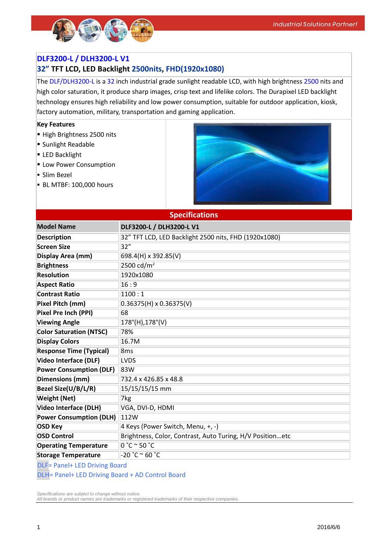

### **DLF3200-L / DLH3200-L V1**

## **32" TFT LCD, LED Backlight 2500nits, FHD(1920x1080)**

The DLF/DLH3200-L is a 32 inch industrial grade sunlight readable LCD, with high brightness 2500 nits and high color saturation, it produce sharp images, crisp text and lifelike colors. The Durapixel LED backlight technology ensures high reliability and low power consumption, suitable for outdoor application, kiosk, factory automation, military, transportation and gaming application.

#### **Key Features**

- High Brightness 2500 nits
- Sunlight Readable
- **LED Backlight**
- **Low Power Consumption**
- Slim Bezel
- **BL MTBF: 100,000 hours**



| <b>Specifications</b>          |                                                           |  |
|--------------------------------|-----------------------------------------------------------|--|
| <b>Model Name</b>              | DLF3200-L / DLH3200-L V1                                  |  |
| <b>Description</b>             | 32" TFT LCD, LED Backlight 2500 nits, FHD (1920x1080)     |  |
| <b>Screen Size</b>             | 32"                                                       |  |
| Display Area (mm)              | 698.4(H) x 392.85(V)                                      |  |
| <b>Brightness</b>              | 2500 cd/ $m^2$                                            |  |
| <b>Resolution</b>              | 1920x1080                                                 |  |
| <b>Aspect Ratio</b>            | 16:9                                                      |  |
| <b>Contrast Ratio</b>          | 1100:1                                                    |  |
| Pixel Pitch (mm)               | $0.36375(H) \times 0.36375(V)$                            |  |
| Pixel Pre Inch (PPI)           | 68                                                        |  |
| <b>Viewing Angle</b>           | $178^{\circ}$ (H),178°(V)                                 |  |
| <b>Color Saturation (NTSC)</b> | 78%                                                       |  |
| <b>Display Colors</b>          | 16.7M                                                     |  |
| <b>Response Time (Typical)</b> | 8 <sub>ms</sub>                                           |  |
| <b>Video Interface (DLF)</b>   | <b>LVDS</b>                                               |  |
| <b>Power Consumption (DLF)</b> | 83W                                                       |  |
| <b>Dimensions (mm)</b>         | 732.4 x 426.85 x 48.8                                     |  |
| Bezel Size(U/B/L/R)            | 15/15/15/15 mm                                            |  |
| <b>Weight (Net)</b>            | 7kg                                                       |  |
| <b>Video Interface (DLH)</b>   | VGA, DVI-D, HDMI                                          |  |
| <b>Power Consumption (DLH)</b> | 112W                                                      |  |
| <b>OSD Key</b>                 | 4 Keys (Power Switch, Menu, +, -)                         |  |
| <b>OSD Control</b>             | Brightness, Color, Contrast, Auto Turing, H/V Positionetc |  |
| <b>Operating Temperature</b>   | 0 °C °50 °C                                               |  |
| <b>Storage Temperature</b>     | $-20 °C \approx 60 °C$                                    |  |

DLF= Panel+ LED Driving Board DLH= Panel+ LED Driving Board + AD Control Board

*Specifications are subject to change without notice.*

*All brands or product names are trademarks or registered trademarks of their respective companies.*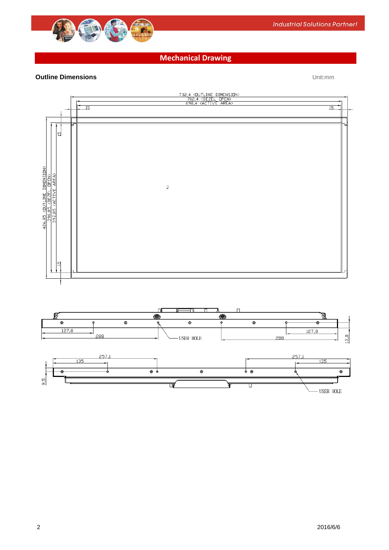

## **Mechanical Drawing**

### **Outline Dimensions** Unit:mm



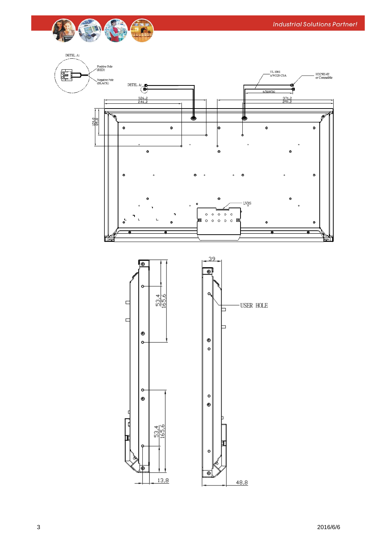